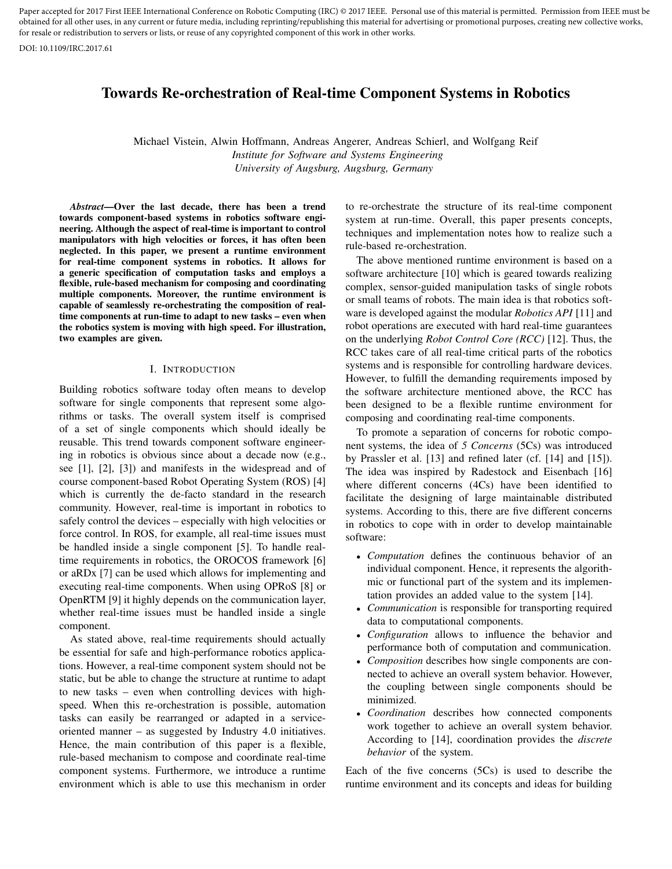Paper accepted for 2017 First IEEE International Conference on Robotic Computing (IRC) © 2017 IEEE. Personal use of this material is permitted. Permission from IEEE must be obtained for all other uses, in any current or future media, including reprinting/republishing this material for advertising or promotional purposes, creating new collective works, for resale or redistribution to servers or lists, or reuse of any copyrighted component of this work in other works.

DOI: 10.1109/IRC.2017.61

# Towards Re-orchestration of Real-time Component Systems in Robotics

Michael Vistein, Alwin Hoffmann, Andreas Angerer, Andreas Schierl, and Wolfgang Reif *Institute for Software and Systems Engineering University of Augsburg, Augsburg, Germany*

*Abstract*—Over the last decade, there has been a trend towards component-based systems in robotics software engineering. Although the aspect of real-time is important to control manipulators with high velocities or forces, it has often been neglected. In this paper, we present a runtime environment for real-time component systems in robotics. It allows for a generic specification of computation tasks and employs a flexible, rule-based mechanism for composing and coordinating multiple components. Moreover, the runtime environment is capable of seamlessly re-orchestrating the composition of realtime components at run-time to adapt to new tasks – even when the robotics system is moving with high speed. For illustration, two examples are given.

## I. INTRODUCTION

Building robotics software today often means to develop software for single components that represent some algorithms or tasks. The overall system itself is comprised of a set of single components which should ideally be reusable. This trend towards component software engineering in robotics is obvious since about a decade now (e.g., see [1], [2], [3]) and manifests in the widespread and of course component-based Robot Operating System (ROS) [4] which is currently the de-facto standard in the research community. However, real-time is important in robotics to safely control the devices – especially with high velocities or force control. In ROS, for example, all real-time issues must be handled inside a single component [5]. To handle realtime requirements in robotics, the OROCOS framework [6] or aRDx [7] can be used which allows for implementing and executing real-time components. When using OPRoS [8] or OpenRTM [9] it highly depends on the communication layer, whether real-time issues must be handled inside a single component.

As stated above, real-time requirements should actually be essential for safe and high-performance robotics applications. However, a real-time component system should not be static, but be able to change the structure at runtime to adapt to new tasks – even when controlling devices with highspeed. When this re-orchestration is possible, automation tasks can easily be rearranged or adapted in a serviceoriented manner – as suggested by Industry 4.0 initiatives. Hence, the main contribution of this paper is a flexible, rule-based mechanism to compose and coordinate real-time component systems. Furthermore, we introduce a runtime environment which is able to use this mechanism in order to re-orchestrate the structure of its real-time component system at run-time. Overall, this paper presents concepts, techniques and implementation notes how to realize such a rule-based re-orchestration.

The above mentioned runtime environment is based on a software architecture [10] which is geared towards realizing complex, sensor-guided manipulation tasks of single robots or small teams of robots. The main idea is that robotics software is developed against the modular *Robotics API* [11] and robot operations are executed with hard real-time guarantees on the underlying *Robot Control Core (RCC)* [12]. Thus, the RCC takes care of all real-time critical parts of the robotics systems and is responsible for controlling hardware devices. However, to fulfill the demanding requirements imposed by the software architecture mentioned above, the RCC has been designed to be a flexible runtime environment for composing and coordinating real-time components.

To promote a separation of concerns for robotic component systems, the idea of *5 Concerns* (5Cs) was introduced by Prassler et al. [13] and refined later (cf. [14] and [15]). The idea was inspired by Radestock and Eisenbach [16] where different concerns (4Cs) have been identified to facilitate the designing of large maintainable distributed systems. According to this, there are five different concerns in robotics to cope with in order to develop maintainable software:

- *Computation* defines the continuous behavior of an individual component. Hence, it represents the algorithmic or functional part of the system and its implementation provides an added value to the system [14].
- *Communication* is responsible for transporting required data to computational components.
- *Configuration* allows to influence the behavior and performance both of computation and communication.
- *Composition* describes how single components are connected to achieve an overall system behavior. However, the coupling between single components should be minimized.
- *Coordination* describes how connected components work together to achieve an overall system behavior. According to [14], coordination provides the *discrete behavior* of the system.

Each of the five concerns (5Cs) is used to describe the runtime environment and its concepts and ideas for building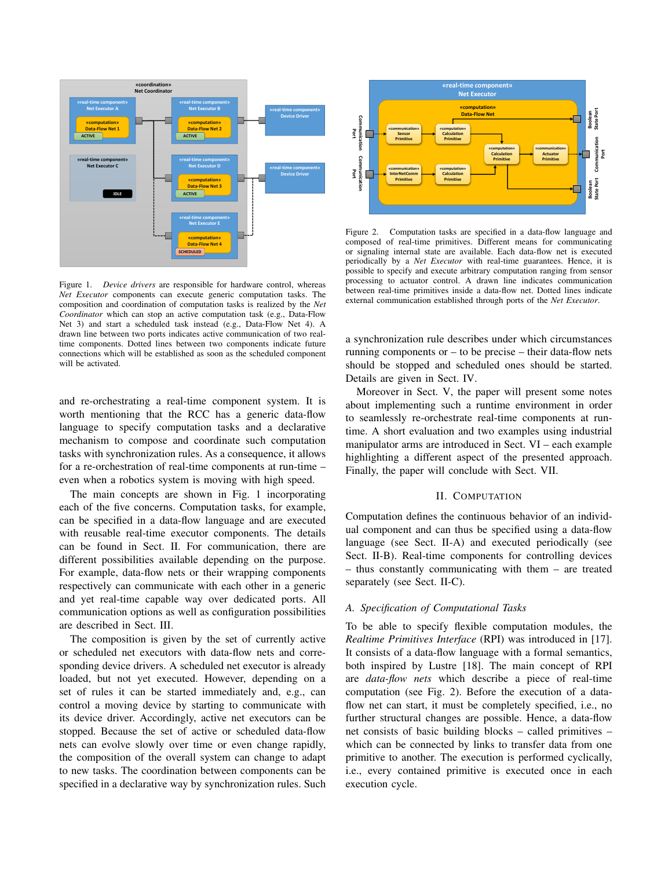

Figure 1. *Device drivers* are responsible for hardware control, whereas *Net Executor* components can execute generic computation tasks. The composition and coordination of computation tasks is realized by the *Net Coordinator* which can stop an active computation task (e.g., Data-Flow Net 3) and start a scheduled task instead (e.g., Data-Flow Net 4). A drawn line between two ports indicates active communication of two realtime components. Dotted lines between two components indicate future connections which will be established as soon as the scheduled component will be activated.

and re-orchestrating a real-time component system. It is worth mentioning that the RCC has a generic data-flow language to specify computation tasks and a declarative mechanism to compose and coordinate such computation tasks with synchronization rules. As a consequence, it allows for a re-orchestration of real-time components at run-time – even when a robotics system is moving with high speed.

The main concepts are shown in Fig. 1 incorporating each of the five concerns. Computation tasks, for example, can be specified in a data-flow language and are executed with reusable real-time executor components. The details can be found in Sect. II. For communication, there are different possibilities available depending on the purpose. For example, data-flow nets or their wrapping components respectively can communicate with each other in a generic and yet real-time capable way over dedicated ports. All communication options as well as configuration possibilities are described in Sect. III.

The composition is given by the set of currently active or scheduled net executors with data-flow nets and corresponding device drivers. A scheduled net executor is already loaded, but not yet executed. However, depending on a set of rules it can be started immediately and, e.g., can control a moving device by starting to communicate with its device driver. Accordingly, active net executors can be stopped. Because the set of active or scheduled data-flow nets can evolve slowly over time or even change rapidly, the composition of the overall system can change to adapt to new tasks. The coordination between components can be specified in a declarative way by synchronization rules. Such



Figure 2. Computation tasks are specified in a data-flow language and composed of real-time primitives. Different means for communicating or signaling internal state are available. Each data-flow net is executed periodically by a *Net Executor* with real-time guarantees. Hence, it is possible to specify and execute arbitrary computation ranging from sensor processing to actuator control. A drawn line indicates communication between real-time primitives inside a data-flow net. Dotted lines indicate external communication established through ports of the *Net Executor*.

a synchronization rule describes under which circumstances running components or  $-$  to be precise  $-$  their data-flow nets should be stopped and scheduled ones should be started. Details are given in Sect. IV.

Moreover in Sect. V, the paper will present some notes about implementing such a runtime environment in order to seamlessly re-orchestrate real-time components at runtime. A short evaluation and two examples using industrial manipulator arms are introduced in Sect. VI – each example highlighting a different aspect of the presented approach. Finally, the paper will conclude with Sect. VII.

### II. COMPUTATION

Computation defines the continuous behavior of an individual component and can thus be specified using a data-flow language (see Sect. II-A) and executed periodically (see Sect. II-B). Real-time components for controlling devices – thus constantly communicating with them – are treated separately (see Sect. II-C).

## *A. Specification of Computational Tasks*

To be able to specify flexible computation modules, the *Realtime Primitives Interface* (RPI) was introduced in [17]. It consists of a data-flow language with a formal semantics, both inspired by Lustre [18]. The main concept of RPI are *data-flow nets* which describe a piece of real-time computation (see Fig. 2). Before the execution of a dataflow net can start, it must be completely specified, i.e., no further structural changes are possible. Hence, a data-flow net consists of basic building blocks – called primitives – which can be connected by links to transfer data from one primitive to another. The execution is performed cyclically, i.e., every contained primitive is executed once in each execution cycle.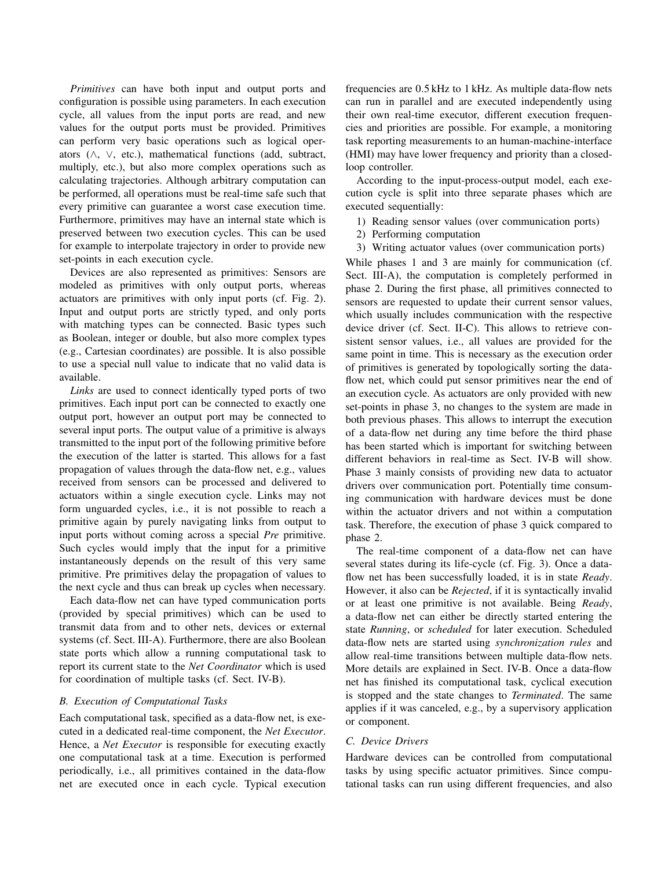*Primitives* can have both input and output ports and configuration is possible using parameters. In each execution cycle, all values from the input ports are read, and new values for the output ports must be provided. Primitives can perform very basic operations such as logical operators (∧, ∨, etc.), mathematical functions (add, subtract, multiply, etc.), but also more complex operations such as calculating trajectories. Although arbitrary computation can be performed, all operations must be real-time safe such that every primitive can guarantee a worst case execution time. Furthermore, primitives may have an internal state which is preserved between two execution cycles. This can be used for example to interpolate trajectory in order to provide new set-points in each execution cycle.

Devices are also represented as primitives: Sensors are modeled as primitives with only output ports, whereas actuators are primitives with only input ports (cf. Fig. 2). Input and output ports are strictly typed, and only ports with matching types can be connected. Basic types such as Boolean, integer or double, but also more complex types (e.g., Cartesian coordinates) are possible. It is also possible to use a special null value to indicate that no valid data is available.

*Links* are used to connect identically typed ports of two primitives. Each input port can be connected to exactly one output port, however an output port may be connected to several input ports. The output value of a primitive is always transmitted to the input port of the following primitive before the execution of the latter is started. This allows for a fast propagation of values through the data-flow net, e.g., values received from sensors can be processed and delivered to actuators within a single execution cycle. Links may not form unguarded cycles, i.e., it is not possible to reach a primitive again by purely navigating links from output to input ports without coming across a special *Pre* primitive. Such cycles would imply that the input for a primitive instantaneously depends on the result of this very same primitive. Pre primitives delay the propagation of values to the next cycle and thus can break up cycles when necessary.

Each data-flow net can have typed communication ports (provided by special primitives) which can be used to transmit data from and to other nets, devices or external systems (cf. Sect. III-A). Furthermore, there are also Boolean state ports which allow a running computational task to report its current state to the *Net Coordinator* which is used for coordination of multiple tasks (cf. Sect. IV-B).

## *B. Execution of Computational Tasks*

Each computational task, specified as a data-flow net, is executed in a dedicated real-time component, the *Net Executor*. Hence, a *Net Executor* is responsible for executing exactly one computational task at a time. Execution is performed periodically, i.e., all primitives contained in the data-flow net are executed once in each cycle. Typical execution frequencies are 0.5 kHz to 1 kHz. As multiple data-flow nets can run in parallel and are executed independently using their own real-time executor, different execution frequencies and priorities are possible. For example, a monitoring task reporting measurements to an human-machine-interface (HMI) may have lower frequency and priority than a closedloop controller.

According to the input-process-output model, each execution cycle is split into three separate phases which are executed sequentially:

- 1) Reading sensor values (over communication ports)
- 2) Performing computation
- 3) Writing actuator values (over communication ports)

While phases 1 and 3 are mainly for communication (cf. Sect. III-A), the computation is completely performed in phase 2. During the first phase, all primitives connected to sensors are requested to update their current sensor values, which usually includes communication with the respective device driver (cf. Sect. II-C). This allows to retrieve consistent sensor values, i.e., all values are provided for the same point in time. This is necessary as the execution order of primitives is generated by topologically sorting the dataflow net, which could put sensor primitives near the end of an execution cycle. As actuators are only provided with new set-points in phase 3, no changes to the system are made in both previous phases. This allows to interrupt the execution of a data-flow net during any time before the third phase has been started which is important for switching between different behaviors in real-time as Sect. IV-B will show. Phase 3 mainly consists of providing new data to actuator drivers over communication port. Potentially time consuming communication with hardware devices must be done within the actuator drivers and not within a computation task. Therefore, the execution of phase 3 quick compared to phase 2.

The real-time component of a data-flow net can have several states during its life-cycle (cf. Fig. 3). Once a dataflow net has been successfully loaded, it is in state *Ready*. However, it also can be *Rejected*, if it is syntactically invalid or at least one primitive is not available. Being *Ready*, a data-flow net can either be directly started entering the state *Running*, or *scheduled* for later execution. Scheduled data-flow nets are started using *synchronization rules* and allow real-time transitions between multiple data-flow nets. More details are explained in Sect. IV-B. Once a data-flow net has finished its computational task, cyclical execution is stopped and the state changes to *Terminated*. The same applies if it was canceled, e.g., by a supervisory application or component.

## *C. Device Drivers*

Hardware devices can be controlled from computational tasks by using specific actuator primitives. Since computational tasks can run using different frequencies, and also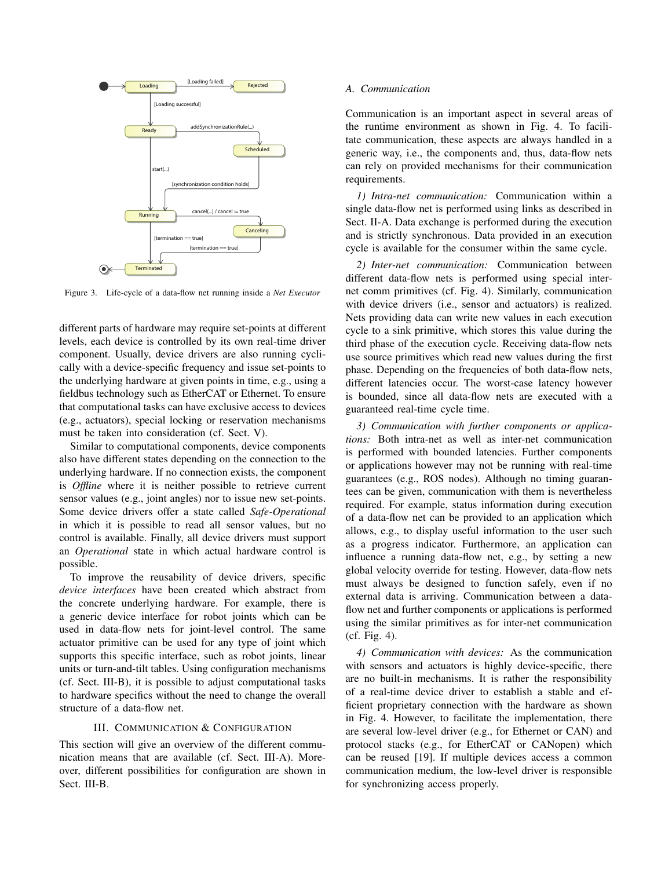

Figure 3. Life-cycle of a data-flow net running inside a *Net Executor*

different parts of hardware may require set-points at different levels, each device is controlled by its own real-time driver component. Usually, device drivers are also running cyclically with a device-specific frequency and issue set-points to the underlying hardware at given points in time, e.g., using a fieldbus technology such as EtherCAT or Ethernet. To ensure that computational tasks can have exclusive access to devices (e.g., actuators), special locking or reservation mechanisms must be taken into consideration (cf. Sect. V).

Similar to computational components, device components also have different states depending on the connection to the underlying hardware. If no connection exists, the component is *Offline* where it is neither possible to retrieve current sensor values (e.g., joint angles) nor to issue new set-points. Some device drivers offer a state called *Safe-Operational* in which it is possible to read all sensor values, but no control is available. Finally, all device drivers must support an *Operational* state in which actual hardware control is possible.

To improve the reusability of device drivers, specific *device interfaces* have been created which abstract from the concrete underlying hardware. For example, there is a generic device interface for robot joints which can be used in data-flow nets for joint-level control. The same actuator primitive can be used for any type of joint which supports this specific interface, such as robot joints, linear units or turn-and-tilt tables. Using configuration mechanisms (cf. Sect. III-B), it is possible to adjust computational tasks to hardware specifics without the need to change the overall structure of a data-flow net.

# III. COMMUNICATION & CONFIGURATION

This section will give an overview of the different communication means that are available (cf. Sect. III-A). Moreover, different possibilities for configuration are shown in Sect. III-B.

#### *A. Communication*

Communication is an important aspect in several areas of the runtime environment as shown in Fig. 4. To facilitate communication, these aspects are always handled in a generic way, i.e., the components and, thus, data-flow nets can rely on provided mechanisms for their communication requirements.

*1) Intra-net communication:* Communication within a single data-flow net is performed using links as described in Sect. II-A. Data exchange is performed during the execution and is strictly synchronous. Data provided in an execution cycle is available for the consumer within the same cycle.

*2) Inter-net communication:* Communication between different data-flow nets is performed using special internet comm primitives (cf. Fig. 4). Similarly, communication with device drivers *(i.e., sensor and actuators)* is realized. Nets providing data can write new values in each execution cycle to a sink primitive, which stores this value during the third phase of the execution cycle. Receiving data-flow nets use source primitives which read new values during the first phase. Depending on the frequencies of both data-flow nets, different latencies occur. The worst-case latency however is bounded, since all data-flow nets are executed with a guaranteed real-time cycle time.

*3) Communication with further components or applications:* Both intra-net as well as inter-net communication is performed with bounded latencies. Further components or applications however may not be running with real-time guarantees (e.g., ROS nodes). Although no timing guarantees can be given, communication with them is nevertheless required. For example, status information during execution of a data-flow net can be provided to an application which allows, e.g., to display useful information to the user such as a progress indicator. Furthermore, an application can influence a running data-flow net, e.g., by setting a new global velocity override for testing. However, data-flow nets must always be designed to function safely, even if no external data is arriving. Communication between a dataflow net and further components or applications is performed using the similar primitives as for inter-net communication (cf. Fig. 4).

*4) Communication with devices:* As the communication with sensors and actuators is highly device-specific, there are no built-in mechanisms. It is rather the responsibility of a real-time device driver to establish a stable and efficient proprietary connection with the hardware as shown in Fig. 4. However, to facilitate the implementation, there are several low-level driver (e.g., for Ethernet or CAN) and protocol stacks (e.g., for EtherCAT or CANopen) which can be reused [19]. If multiple devices access a common communication medium, the low-level driver is responsible for synchronizing access properly.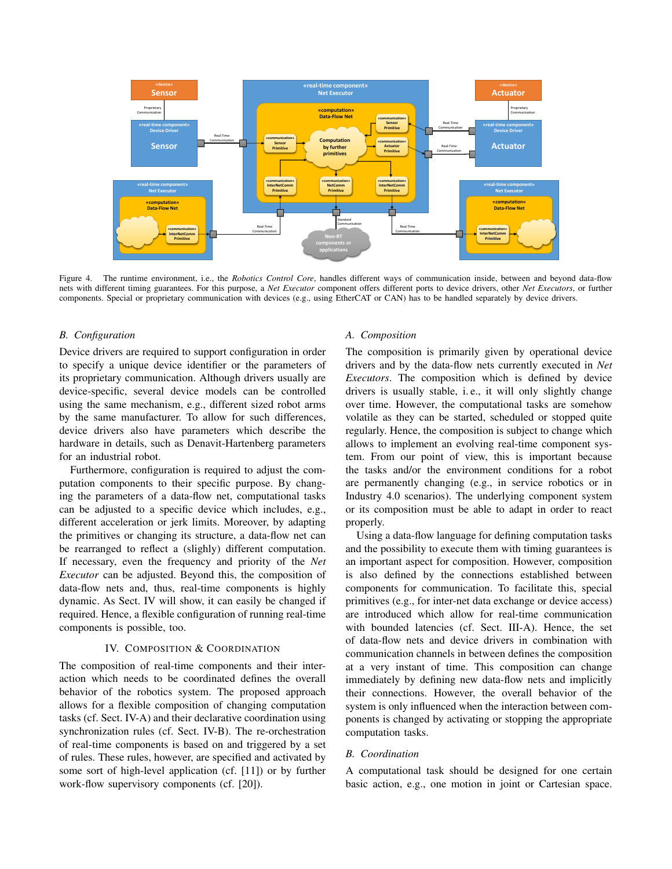

Figure 4. The runtime environment, i.e., the *Robotics Control Core*, handles different ways of communication inside, between and beyond data-flow nets with different timing guarantees. For this purpose, a *Net Executor* component offers different ports to device drivers, other *Net Executors*, or further components. Special or proprietary communication with devices (e.g., using EtherCAT or CAN) has to be handled separately by device drivers.

## *B. Configuration*

Device drivers are required to support configuration in order to specify a unique device identifier or the parameters of its proprietary communication. Although drivers usually are device-specific, several device models can be controlled using the same mechanism, e.g., different sized robot arms by the same manufacturer. To allow for such differences, device drivers also have parameters which describe the hardware in details, such as Denavit-Hartenberg parameters for an industrial robot.

Furthermore, configuration is required to adjust the computation components to their specific purpose. By changing the parameters of a data-flow net, computational tasks can be adjusted to a specific device which includes, e.g., different acceleration or jerk limits. Moreover, by adapting the primitives or changing its structure, a data-flow net can be rearranged to reflect a (slighly) different computation. If necessary, even the frequency and priority of the *Net Executor* can be adjusted. Beyond this, the composition of data-flow nets and, thus, real-time components is highly dynamic. As Sect. IV will show, it can easily be changed if required. Hence, a flexible configuration of running real-time components is possible, too.

## IV. COMPOSITION & COORDINATION

The composition of real-time components and their interaction which needs to be coordinated defines the overall behavior of the robotics system. The proposed approach allows for a flexible composition of changing computation tasks (cf. Sect. IV-A) and their declarative coordination using synchronization rules (cf. Sect. IV-B). The re-orchestration of real-time components is based on and triggered by a set of rules. These rules, however, are specified and activated by some sort of high-level application (cf. [11]) or by further work-flow supervisory components (cf. [20]).

#### *A. Composition*

The composition is primarily given by operational device drivers and by the data-flow nets currently executed in *Net Executors*. The composition which is defined by device drivers is usually stable, i. e., it will only slightly change over time. However, the computational tasks are somehow volatile as they can be started, scheduled or stopped quite regularly. Hence, the composition is subject to change which allows to implement an evolving real-time component system. From our point of view, this is important because the tasks and/or the environment conditions for a robot are permanently changing (e.g., in service robotics or in Industry 4.0 scenarios). The underlying component system or its composition must be able to adapt in order to react properly.

Using a data-flow language for defining computation tasks and the possibility to execute them with timing guarantees is an important aspect for composition. However, composition is also defined by the connections established between components for communication. To facilitate this, special primitives (e.g., for inter-net data exchange or device access) are introduced which allow for real-time communication with bounded latencies (cf. Sect. III-A). Hence, the set of data-flow nets and device drivers in combination with communication channels in between defines the composition at a very instant of time. This composition can change immediately by defining new data-flow nets and implicitly their connections. However, the overall behavior of the system is only influenced when the interaction between components is changed by activating or stopping the appropriate computation tasks.

#### *B. Coordination*

A computational task should be designed for one certain basic action, e.g., one motion in joint or Cartesian space.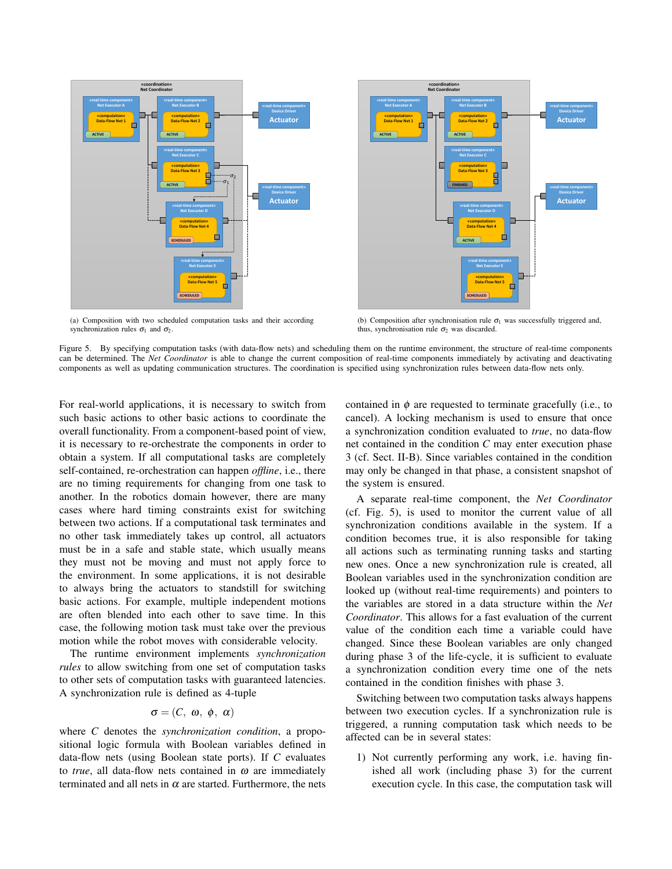



(a) Composition with two scheduled computation tasks and their according synchronization rules  $\sigma_1$  and  $\sigma_2$ .

(b) Composition after synchronisation rule  $\sigma_1$  was successfully triggered and, thus, synchronisation rule  $\sigma_2$  was discarded.

Figure 5. By specifying computation tasks (with data-flow nets) and scheduling them on the runtime environment, the structure of real-time components can be determined. The *Net Coordinator* is able to change the current composition of real-time components immediately by activating and deactivating components as well as updating communication structures. The coordination is specified using synchronization rules between data-flow nets only.

For real-world applications, it is necessary to switch from such basic actions to other basic actions to coordinate the overall functionality. From a component-based point of view, it is necessary to re-orchestrate the components in order to obtain a system. If all computational tasks are completely self-contained, re-orchestration can happen *offline*, i.e., there are no timing requirements for changing from one task to another. In the robotics domain however, there are many cases where hard timing constraints exist for switching between two actions. If a computational task terminates and no other task immediately takes up control, all actuators must be in a safe and stable state, which usually means they must not be moving and must not apply force to the environment. In some applications, it is not desirable to always bring the actuators to standstill for switching basic actions. For example, multiple independent motions are often blended into each other to save time. In this case, the following motion task must take over the previous motion while the robot moves with considerable velocity.

The runtime environment implements *synchronization rules* to allow switching from one set of computation tasks to other sets of computation tasks with guaranteed latencies. A synchronization rule is defined as 4-tuple

$$
\sigma=(C, \ \omega, \ \phi, \ \alpha)
$$

where *C* denotes the *synchronization condition*, a propositional logic formula with Boolean variables defined in data-flow nets (using Boolean state ports). If *C* evaluates to *true*, all data-flow nets contained in  $\omega$  are immediately terminated and all nets in  $\alpha$  are started. Furthermore, the nets contained in  $\phi$  are requested to terminate gracefully (i.e., to cancel). A locking mechanism is used to ensure that once a synchronization condition evaluated to *true*, no data-flow net contained in the condition *C* may enter execution phase 3 (cf. Sect. II-B). Since variables contained in the condition may only be changed in that phase, a consistent snapshot of the system is ensured.

A separate real-time component, the *Net Coordinator* (cf. Fig. 5), is used to monitor the current value of all synchronization conditions available in the system. If a condition becomes true, it is also responsible for taking all actions such as terminating running tasks and starting new ones. Once a new synchronization rule is created, all Boolean variables used in the synchronization condition are looked up (without real-time requirements) and pointers to the variables are stored in a data structure within the *Net Coordinator*. This allows for a fast evaluation of the current value of the condition each time a variable could have changed. Since these Boolean variables are only changed during phase 3 of the life-cycle, it is sufficient to evaluate a synchronization condition every time one of the nets contained in the condition finishes with phase 3.

Switching between two computation tasks always happens between two execution cycles. If a synchronization rule is triggered, a running computation task which needs to be affected can be in several states:

1) Not currently performing any work, i.e. having finished all work (including phase 3) for the current execution cycle. In this case, the computation task will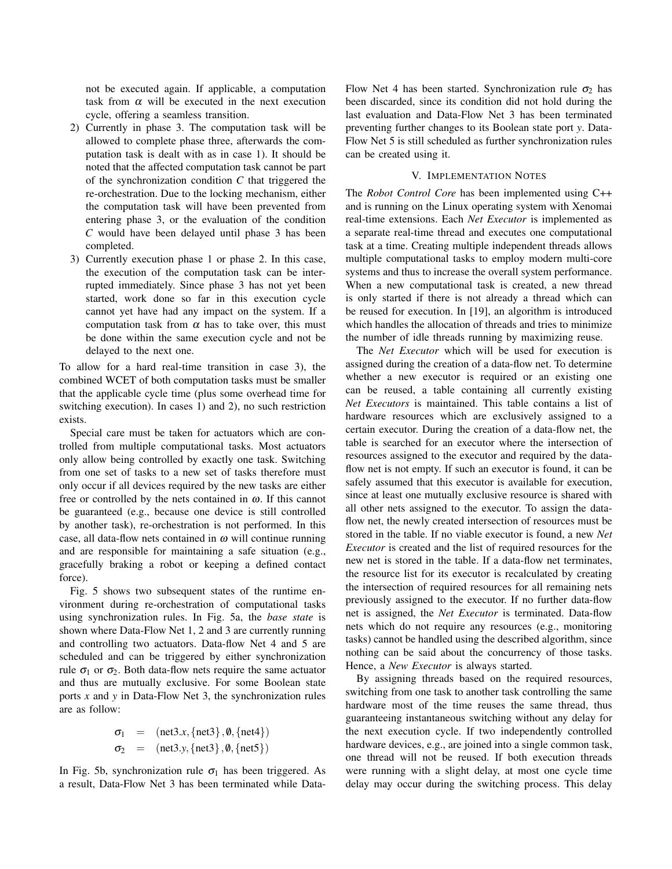not be executed again. If applicable, a computation task from  $\alpha$  will be executed in the next execution cycle, offering a seamless transition.

- 2) Currently in phase 3. The computation task will be allowed to complete phase three, afterwards the computation task is dealt with as in case 1). It should be noted that the affected computation task cannot be part of the synchronization condition *C* that triggered the re-orchestration. Due to the locking mechanism, either the computation task will have been prevented from entering phase 3, or the evaluation of the condition *C* would have been delayed until phase 3 has been completed.
- 3) Currently execution phase 1 or phase 2. In this case, the execution of the computation task can be interrupted immediately. Since phase 3 has not yet been started, work done so far in this execution cycle cannot yet have had any impact on the system. If a computation task from  $\alpha$  has to take over, this must be done within the same execution cycle and not be delayed to the next one.

To allow for a hard real-time transition in case 3), the combined WCET of both computation tasks must be smaller that the applicable cycle time (plus some overhead time for switching execution). In cases 1) and 2), no such restriction exists.

Special care must be taken for actuators which are controlled from multiple computational tasks. Most actuators only allow being controlled by exactly one task. Switching from one set of tasks to a new set of tasks therefore must only occur if all devices required by the new tasks are either free or controlled by the nets contained in  $\omega$ . If this cannot be guaranteed (e.g., because one device is still controlled by another task), re-orchestration is not performed. In this case, all data-flow nets contained in  $\omega$  will continue running and are responsible for maintaining a safe situation (e.g., gracefully braking a robot or keeping a defined contact force).

Fig. 5 shows two subsequent states of the runtime environment during re-orchestration of computational tasks using synchronization rules. In Fig. 5a, the *base state* is shown where Data-Flow Net 1, 2 and 3 are currently running and controlling two actuators. Data-flow Net 4 and 5 are scheduled and can be triggered by either synchronization rule  $\sigma_1$  or  $\sigma_2$ . Both data-flow nets require the same actuator and thus are mutually exclusive. For some Boolean state ports *x* and *y* in Data-Flow Net 3, the synchronization rules are as follow:

$$
\sigma_1 = (\text{net3}.x, \{\text{net3}\}, \emptyset, \{\text{net4}\})
$$
  

$$
\sigma_2 = (\text{net3}.y, \{\text{net3}\}, \emptyset, \{\text{net5}\})
$$

In Fig. 5b, synchronization rule  $\sigma_1$  has been triggered. As a result, Data-Flow Net 3 has been terminated while DataFlow Net 4 has been started. Synchronization rule  $\sigma_2$  has been discarded, since its condition did not hold during the last evaluation and Data-Flow Net 3 has been terminated preventing further changes to its Boolean state port *y*. Data-Flow Net 5 is still scheduled as further synchronization rules can be created using it.

#### V. IMPLEMENTATION NOTES

The *Robot Control Core* has been implemented using C++ and is running on the Linux operating system with Xenomai real-time extensions. Each *Net Executor* is implemented as a separate real-time thread and executes one computational task at a time. Creating multiple independent threads allows multiple computational tasks to employ modern multi-core systems and thus to increase the overall system performance. When a new computational task is created, a new thread is only started if there is not already a thread which can be reused for execution. In [19], an algorithm is introduced which handles the allocation of threads and tries to minimize the number of idle threads running by maximizing reuse.

The *Net Executor* which will be used for execution is assigned during the creation of a data-flow net. To determine whether a new executor is required or an existing one can be reused, a table containing all currently existing *Net Executors* is maintained. This table contains a list of hardware resources which are exclusively assigned to a certain executor. During the creation of a data-flow net, the table is searched for an executor where the intersection of resources assigned to the executor and required by the dataflow net is not empty. If such an executor is found, it can be safely assumed that this executor is available for execution, since at least one mutually exclusive resource is shared with all other nets assigned to the executor. To assign the dataflow net, the newly created intersection of resources must be stored in the table. If no viable executor is found, a new *Net Executor* is created and the list of required resources for the new net is stored in the table. If a data-flow net terminates, the resource list for its executor is recalculated by creating the intersection of required resources for all remaining nets previously assigned to the executor. If no further data-flow net is assigned, the *Net Executor* is terminated. Data-flow nets which do not require any resources (e.g., monitoring tasks) cannot be handled using the described algorithm, since nothing can be said about the concurrency of those tasks. Hence, a *New Executor* is always started.

By assigning threads based on the required resources, switching from one task to another task controlling the same hardware most of the time reuses the same thread, thus guaranteeing instantaneous switching without any delay for the next execution cycle. If two independently controlled hardware devices, e.g., are joined into a single common task, one thread will not be reused. If both execution threads were running with a slight delay, at most one cycle time delay may occur during the switching process. This delay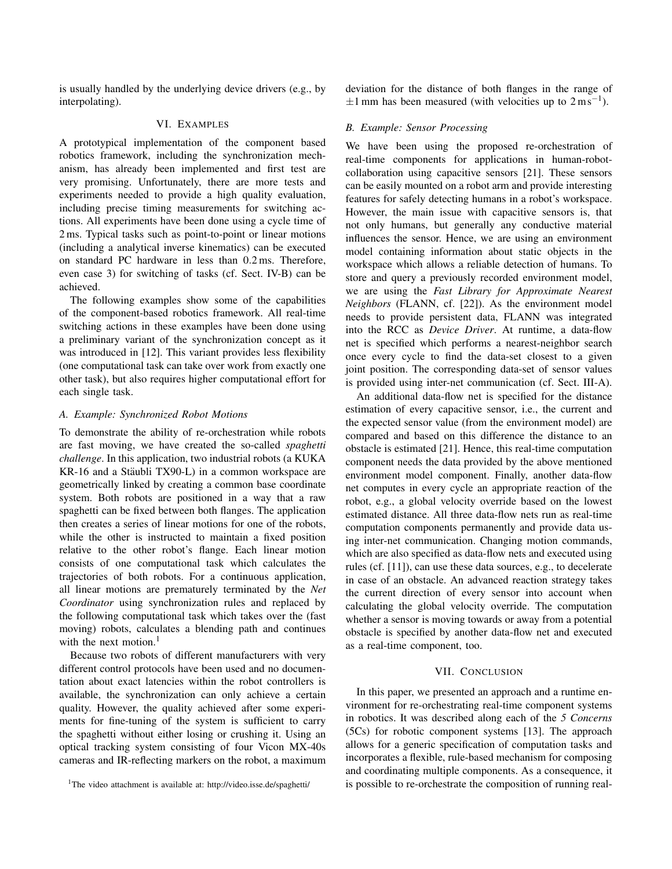is usually handled by the underlying device drivers (e.g., by interpolating).

#### VI. EXAMPLES

A prototypical implementation of the component based robotics framework, including the synchronization mechanism, has already been implemented and first test are very promising. Unfortunately, there are more tests and experiments needed to provide a high quality evaluation, including precise timing measurements for switching actions. All experiments have been done using a cycle time of 2 ms. Typical tasks such as point-to-point or linear motions (including a analytical inverse kinematics) can be executed on standard PC hardware in less than 0.2 ms. Therefore, even case 3) for switching of tasks (cf. Sect. IV-B) can be achieved.

The following examples show some of the capabilities of the component-based robotics framework. All real-time switching actions in these examples have been done using a preliminary variant of the synchronization concept as it was introduced in [12]. This variant provides less flexibility (one computational task can take over work from exactly one other task), but also requires higher computational effort for each single task.

# *A. Example: Synchronized Robot Motions*

To demonstrate the ability of re-orchestration while robots are fast moving, we have created the so-called *spaghetti challenge*. In this application, two industrial robots (a KUKA KR-16 and a Stäubli TX90-L) in a common workspace are geometrically linked by creating a common base coordinate system. Both robots are positioned in a way that a raw spaghetti can be fixed between both flanges. The application then creates a series of linear motions for one of the robots, while the other is instructed to maintain a fixed position relative to the other robot's flange. Each linear motion consists of one computational task which calculates the trajectories of both robots. For a continuous application, all linear motions are prematurely terminated by the *Net Coordinator* using synchronization rules and replaced by the following computational task which takes over the (fast moving) robots, calculates a blending path and continues with the next motion. $<sup>1</sup>$ </sup>

Because two robots of different manufacturers with very different control protocols have been used and no documentation about exact latencies within the robot controllers is available, the synchronization can only achieve a certain quality. However, the quality achieved after some experiments for fine-tuning of the system is sufficient to carry the spaghetti without either losing or crushing it. Using an optical tracking system consisting of four Vicon MX-40s cameras and IR-reflecting markers on the robot, a maximum deviation for the distance of both flanges in the range of  $\pm 1$  mm has been measured (with velocities up to  $2 \text{ m s}^{-1}$ ).

# *B. Example: Sensor Processing*

We have been using the proposed re-orchestration of real-time components for applications in human-robotcollaboration using capacitive sensors [21]. These sensors can be easily mounted on a robot arm and provide interesting features for safely detecting humans in a robot's workspace. However, the main issue with capacitive sensors is, that not only humans, but generally any conductive material influences the sensor. Hence, we are using an environment model containing information about static objects in the workspace which allows a reliable detection of humans. To store and query a previously recorded environment model, we are using the *Fast Library for Approximate Nearest Neighbors* (FLANN, cf. [22]). As the environment model needs to provide persistent data, FLANN was integrated into the RCC as *Device Driver*. At runtime, a data-flow net is specified which performs a nearest-neighbor search once every cycle to find the data-set closest to a given joint position. The corresponding data-set of sensor values is provided using inter-net communication (cf. Sect. III-A).

An additional data-flow net is specified for the distance estimation of every capacitive sensor, i.e., the current and the expected sensor value (from the environment model) are compared and based on this difference the distance to an obstacle is estimated [21]. Hence, this real-time computation component needs the data provided by the above mentioned environment model component. Finally, another data-flow net computes in every cycle an appropriate reaction of the robot, e.g., a global velocity override based on the lowest estimated distance. All three data-flow nets run as real-time computation components permanently and provide data using inter-net communication. Changing motion commands, which are also specified as data-flow nets and executed using rules (cf. [11]), can use these data sources, e.g., to decelerate in case of an obstacle. An advanced reaction strategy takes the current direction of every sensor into account when calculating the global velocity override. The computation whether a sensor is moving towards or away from a potential obstacle is specified by another data-flow net and executed as a real-time component, too.

#### VII. CONCLUSION

In this paper, we presented an approach and a runtime environment for re-orchestrating real-time component systems in robotics. It was described along each of the *5 Concerns* (5Cs) for robotic component systems [13]. The approach allows for a generic specification of computation tasks and incorporates a flexible, rule-based mechanism for composing and coordinating multiple components. As a consequence, it is possible to re-orchestrate the composition of running real-

<sup>&</sup>lt;sup>1</sup>The video attachment is available at: http://video.isse.de/spaghetti/